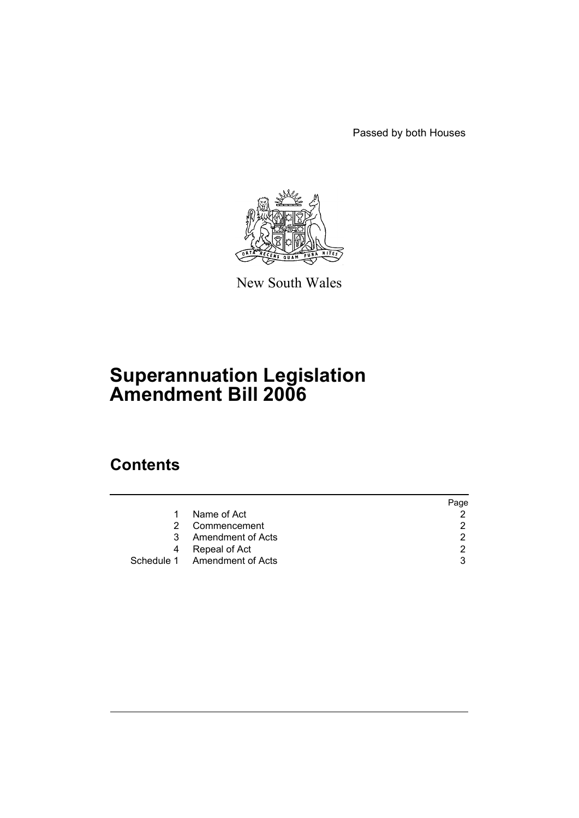Passed by both Houses



New South Wales

# **Superannuation Legislation Amendment Bill 2006**

## **Contents**

|    |                              | Page |
|----|------------------------------|------|
|    | Name of Act                  |      |
| 2  | Commencement                 | 2.   |
| 3. | Amendment of Acts            | 2    |
| 4  | Repeal of Act                | 2    |
|    | Schedule 1 Amendment of Acts | 3    |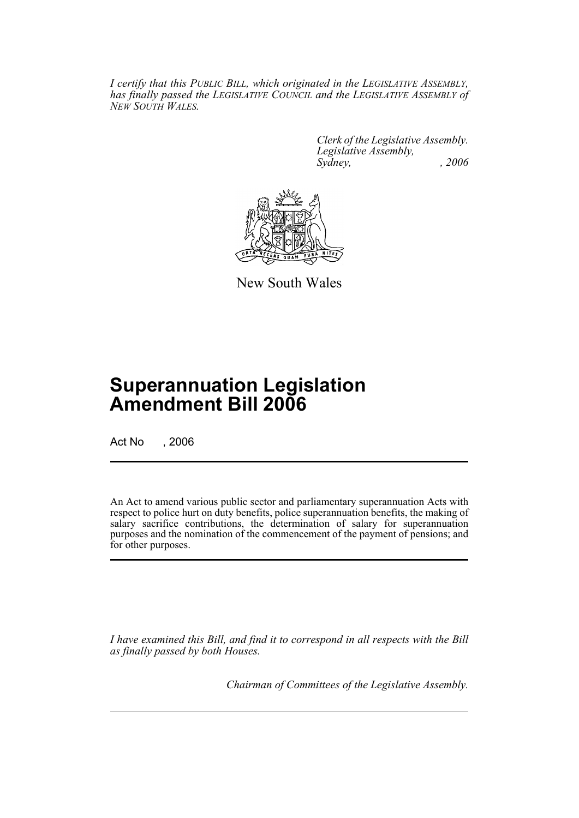*I certify that this PUBLIC BILL, which originated in the LEGISLATIVE ASSEMBLY, has finally passed the LEGISLATIVE COUNCIL and the LEGISLATIVE ASSEMBLY of NEW SOUTH WALES.*

> *Clerk of the Legislative Assembly. Legislative Assembly, Sydney, , 2006*



New South Wales

## **Superannuation Legislation Amendment Bill 2006**

Act No , 2006

An Act to amend various public sector and parliamentary superannuation Acts with respect to police hurt on duty benefits, police superannuation benefits, the making of salary sacrifice contributions, the determination of salary for superannuation purposes and the nomination of the commencement of the payment of pensions; and for other purposes.

*I have examined this Bill, and find it to correspond in all respects with the Bill as finally passed by both Houses.*

*Chairman of Committees of the Legislative Assembly.*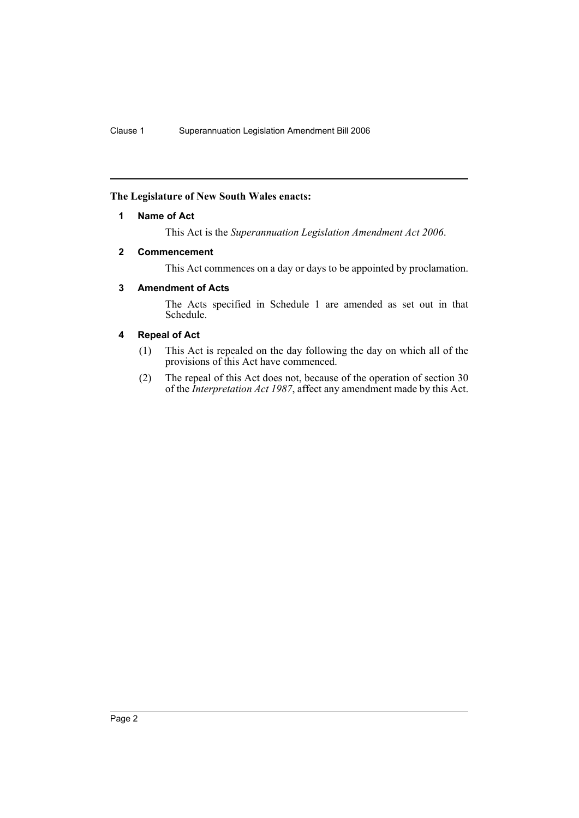### **The Legislature of New South Wales enacts:**

### **1 Name of Act**

This Act is the *Superannuation Legislation Amendment Act 2006*.

### **2 Commencement**

This Act commences on a day or days to be appointed by proclamation.

### **3 Amendment of Acts**

The Acts specified in Schedule 1 are amended as set out in that Schedule.

### **4 Repeal of Act**

- (1) This Act is repealed on the day following the day on which all of the provisions of this Act have commenced.
- (2) The repeal of this Act does not, because of the operation of section 30 of the *Interpretation Act 1987*, affect any amendment made by this Act.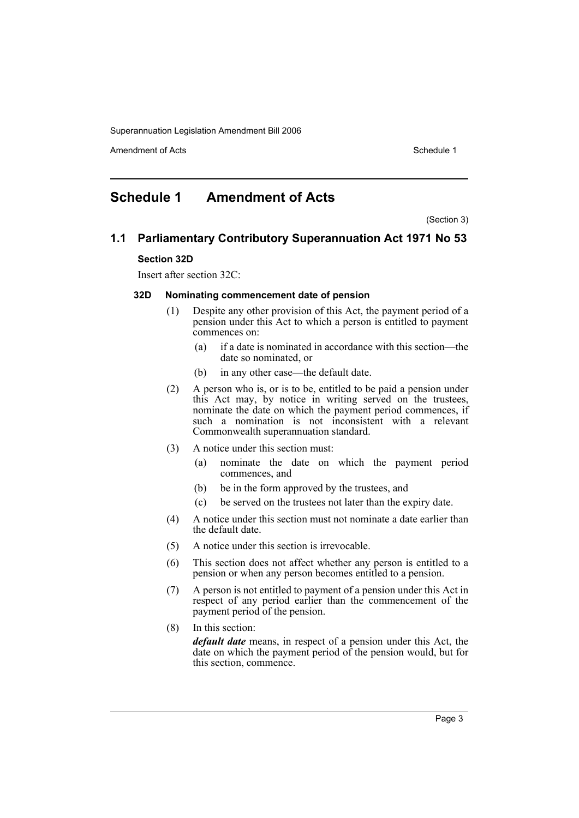Amendment of Acts **Schedule 1** and the set of Acts Schedule 1

## **Schedule 1 Amendment of Acts**

(Section 3)

## **1.1 Parliamentary Contributory Superannuation Act 1971 No 53 Section 32D**

Insert after section 32C:

#### **32D Nominating commencement date of pension**

- (1) Despite any other provision of this Act, the payment period of a pension under this Act to which a person is entitled to payment commences on:
	- (a) if a date is nominated in accordance with this section—the date so nominated, or
	- (b) in any other case—the default date.
- (2) A person who is, or is to be, entitled to be paid a pension under this Act may, by notice in writing served on the trustees, nominate the date on which the payment period commences, if such a nomination is not inconsistent with a relevant Commonwealth superannuation standard.
- (3) A notice under this section must:
	- (a) nominate the date on which the payment period commences, and
	- (b) be in the form approved by the trustees, and
	- (c) be served on the trustees not later than the expiry date.
- (4) A notice under this section must not nominate a date earlier than the default date.
- (5) A notice under this section is irrevocable.
- (6) This section does not affect whether any person is entitled to a pension or when any person becomes entitled to a pension.
- (7) A person is not entitled to payment of a pension under this Act in respect of any period earlier than the commencement of the payment period of the pension.
- (8) In this section: *default date* means, in respect of a pension under this Act, the date on which the payment period of the pension would, but for this section, commence.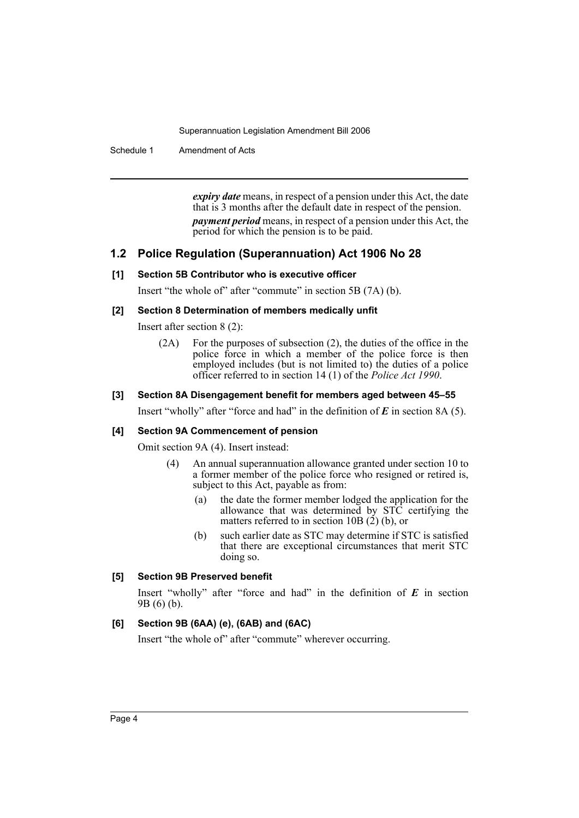Schedule 1 Amendment of Acts

*expiry date* means, in respect of a pension under this Act, the date that is 3 months after the default date in respect of the pension. *payment period* means, in respect of a pension under this Act, the period for which the pension is to be paid.

### **1.2 Police Regulation (Superannuation) Act 1906 No 28**

### **[1] Section 5B Contributor who is executive officer**

Insert "the whole of" after "commute" in section 5B (7A) (b).

### **[2] Section 8 Determination of members medically unfit**

Insert after section 8 (2):

(2A) For the purposes of subsection (2), the duties of the office in the police force in which a member of the police force is then employed includes (but is not limited to) the duties of a police officer referred to in section 14 (1) of the *Police Act 1990*.

#### **[3] Section 8A Disengagement benefit for members aged between 45–55**

Insert "wholly" after "force and had" in the definition of *E* in section 8A (5).

#### **[4] Section 9A Commencement of pension**

Omit section 9A (4). Insert instead:

- (4) An annual superannuation allowance granted under section 10 to a former member of the police force who resigned or retired is, subject to this Act, payable as from:
	- (a) the date the former member lodged the application for the allowance that was determined by STC certifying the matters referred to in section 10B  $(2)$  (b), or
	- (b) such earlier date as STC may determine if STC is satisfied that there are exceptional circumstances that merit STC doing so.

### **[5] Section 9B Preserved benefit**

Insert "wholly" after "force and had" in the definition of *E* in section 9B (6) (b).

### **[6] Section 9B (6AA) (e), (6AB) and (6AC)**

Insert "the whole of" after "commute" wherever occurring.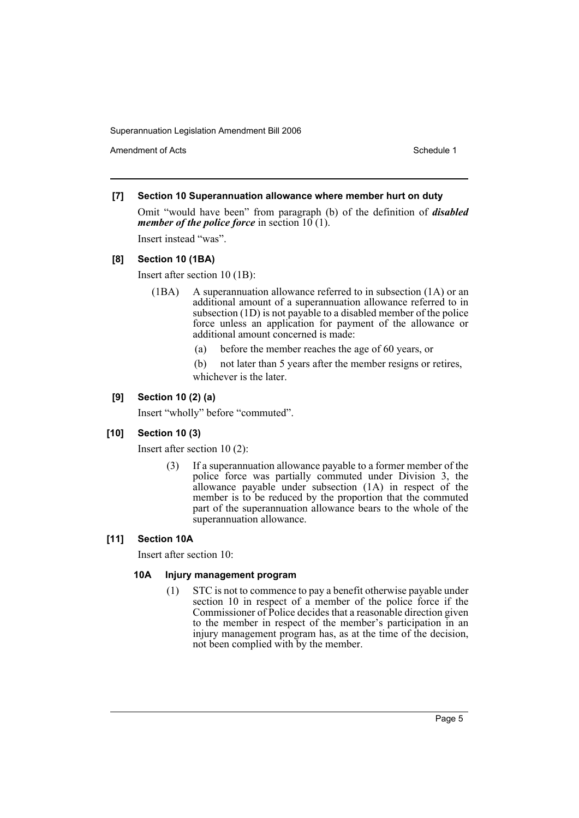Amendment of Acts **Amendment of Acts** Schedule 1

### **[7] Section 10 Superannuation allowance where member hurt on duty**

Omit "would have been" from paragraph (b) of the definition of *disabled member of the police force* in section 10(1).

Insert instead "was".

### **[8] Section 10 (1BA)**

Insert after section 10 (1B):

- (1BA) A superannuation allowance referred to in subsection (1A) or an additional amount of a superannuation allowance referred to in subsection (1D) is not payable to a disabled member of the police force unless an application for payment of the allowance or additional amount concerned is made:
	- (a) before the member reaches the age of 60 years, or
	- (b) not later than 5 years after the member resigns or retires, whichever is the later.

### **[9] Section 10 (2) (a)**

Insert "wholly" before "commuted".

### **[10] Section 10 (3)**

Insert after section 10 (2):

If a superannuation allowance payable to a former member of the police force was partially commuted under Division 3, the allowance payable under subsection  $(1A)$  in respect of the member is to be reduced by the proportion that the commuted part of the superannuation allowance bears to the whole of the superannuation allowance.

### **[11] Section 10A**

Insert after section 10:

### **10A Injury management program**

(1) STC is not to commence to pay a benefit otherwise payable under section 10 in respect of a member of the police force if the Commissioner of Police decides that a reasonable direction given to the member in respect of the member's participation in an injury management program has, as at the time of the decision, not been complied with by the member.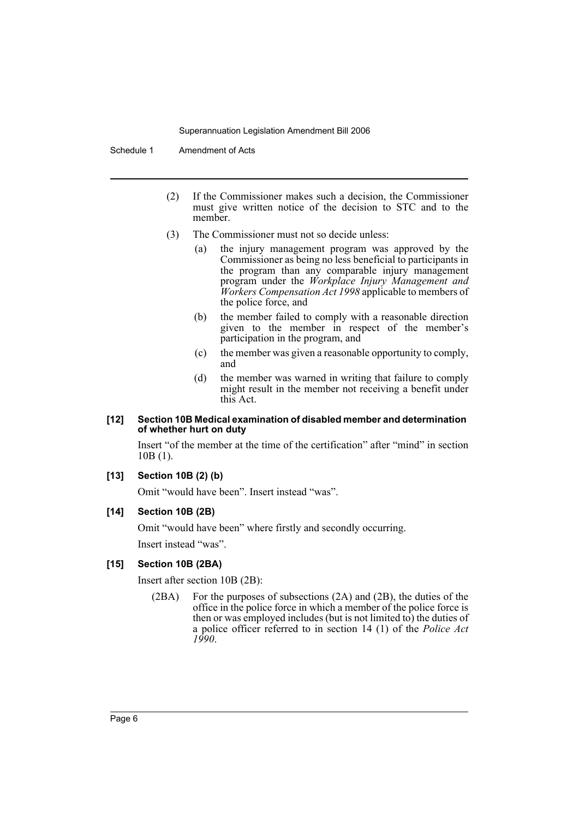Schedule 1 Amendment of Acts

- (2) If the Commissioner makes such a decision, the Commissioner must give written notice of the decision to STC and to the member.
- (3) The Commissioner must not so decide unless:
	- (a) the injury management program was approved by the Commissioner as being no less beneficial to participants in the program than any comparable injury management program under the *Workplace Injury Management and Workers Compensation Act 1998* applicable to members of the police force, and
	- (b) the member failed to comply with a reasonable direction given to the member in respect of the member's participation in the program, and
	- (c) the member was given a reasonable opportunity to comply, and
	- (d) the member was warned in writing that failure to comply might result in the member not receiving a benefit under this Act.

#### **[12] Section 10B Medical examination of disabled member and determination of whether hurt on duty**

Insert "of the member at the time of the certification" after "mind" in section 10B (1).

### **[13] Section 10B (2) (b)**

Omit "would have been". Insert instead "was".

#### **[14] Section 10B (2B)**

Omit "would have been" where firstly and secondly occurring. Insert instead "was".

#### **[15] Section 10B (2BA)**

Insert after section 10B (2B):

(2BA) For the purposes of subsections (2A) and (2B), the duties of the office in the police force in which a member of the police force is then or was employed includes (but is not limited to) the duties of a police officer referred to in section 14 (1) of the *Police Act 1990*.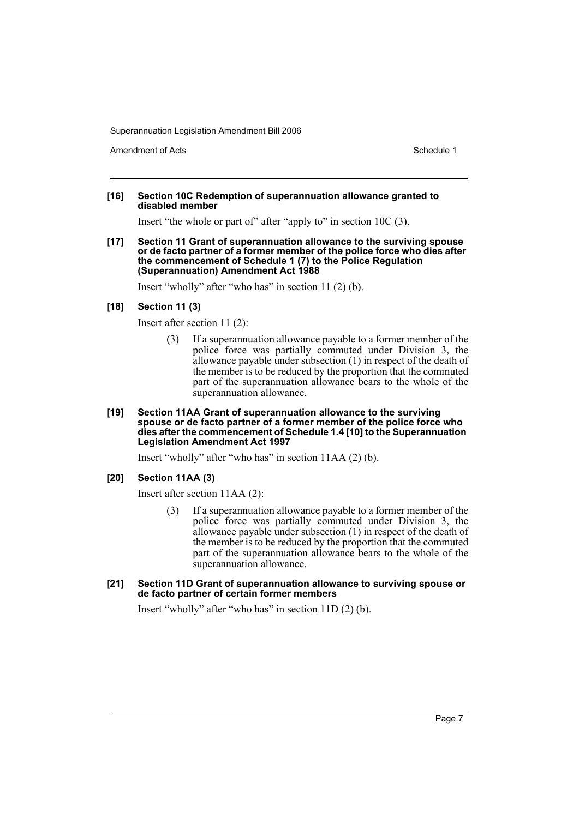Amendment of Acts **Amendment of Acts** Schedule 1

#### **[16] Section 10C Redemption of superannuation allowance granted to disabled member**

Insert "the whole or part of" after "apply to" in section 10C (3).

**[17] Section 11 Grant of superannuation allowance to the surviving spouse or de facto partner of a former member of the police force who dies after the commencement of Schedule 1 (7) to the Police Regulation (Superannuation) Amendment Act 1988**

Insert "wholly" after "who has" in section 11 (2) (b).

#### **[18] Section 11 (3)**

Insert after section 11 (2):

- (3) If a superannuation allowance payable to a former member of the police force was partially commuted under Division 3, the allowance payable under subsection (1) in respect of the death of the member is to be reduced by the proportion that the commuted part of the superannuation allowance bears to the whole of the superannuation allowance.
- **[19] Section 11AA Grant of superannuation allowance to the surviving spouse or de facto partner of a former member of the police force who dies after the commencement of Schedule 1.4 [10] to the Superannuation Legislation Amendment Act 1997**

Insert "wholly" after "who has" in section 11AA (2) (b).

**[20] Section 11AA (3)**

Insert after section 11AA (2):

- (3) If a superannuation allowance payable to a former member of the police force was partially commuted under Division 3, the allowance payable under subsection (1) in respect of the death of the member is to be reduced by the proportion that the commuted part of the superannuation allowance bears to the whole of the superannuation allowance.
- **[21] Section 11D Grant of superannuation allowance to surviving spouse or de facto partner of certain former members**

Insert "wholly" after "who has" in section 11D (2) (b).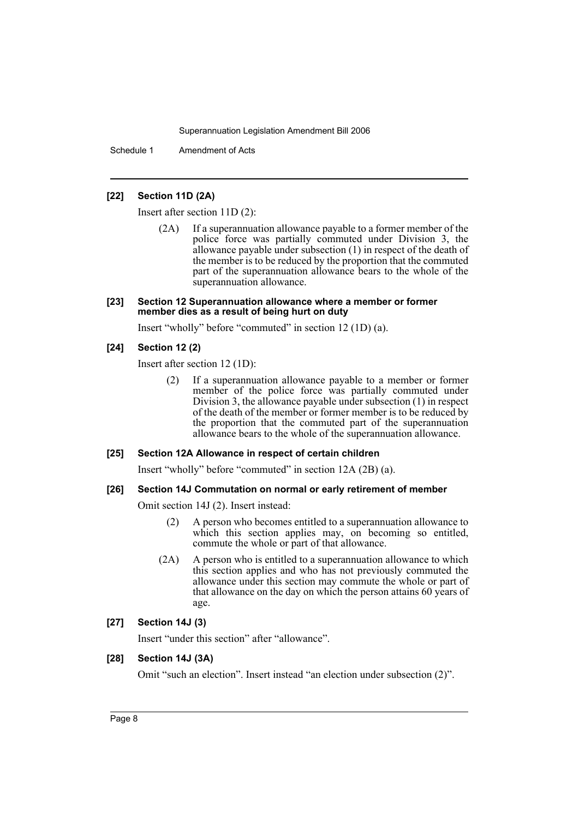Schedule 1 Amendment of Acts

#### **[22] Section 11D (2A)**

Insert after section 11D (2):

(2A) If a superannuation allowance payable to a former member of the police force was partially commuted under Division 3, the allowance payable under subsection (1) in respect of the death of the member is to be reduced by the proportion that the commuted part of the superannuation allowance bears to the whole of the superannuation allowance.

#### **[23] Section 12 Superannuation allowance where a member or former member dies as a result of being hurt on duty**

Insert "wholly" before "commuted" in section 12 (1D) (a).

#### **[24] Section 12 (2)**

Insert after section 12 (1D):

(2) If a superannuation allowance payable to a member or former member of the police force was partially commuted under Division 3, the allowance payable under subsection (1) in respect of the death of the member or former member is to be reduced by the proportion that the commuted part of the superannuation allowance bears to the whole of the superannuation allowance.

#### **[25] Section 12A Allowance in respect of certain children**

Insert "wholly" before "commuted" in section 12A (2B) (a).

#### **[26] Section 14J Commutation on normal or early retirement of member**

Omit section 14J (2). Insert instead:

- (2) A person who becomes entitled to a superannuation allowance to which this section applies may, on becoming so entitled, commute the whole or part of that allowance.
- (2A) A person who is entitled to a superannuation allowance to which this section applies and who has not previously commuted the allowance under this section may commute the whole or part of that allowance on the day on which the person attains 60 years of age.

### **[27] Section 14J (3)**

Insert "under this section" after "allowance".

#### **[28] Section 14J (3A)**

Omit "such an election". Insert instead "an election under subsection (2)".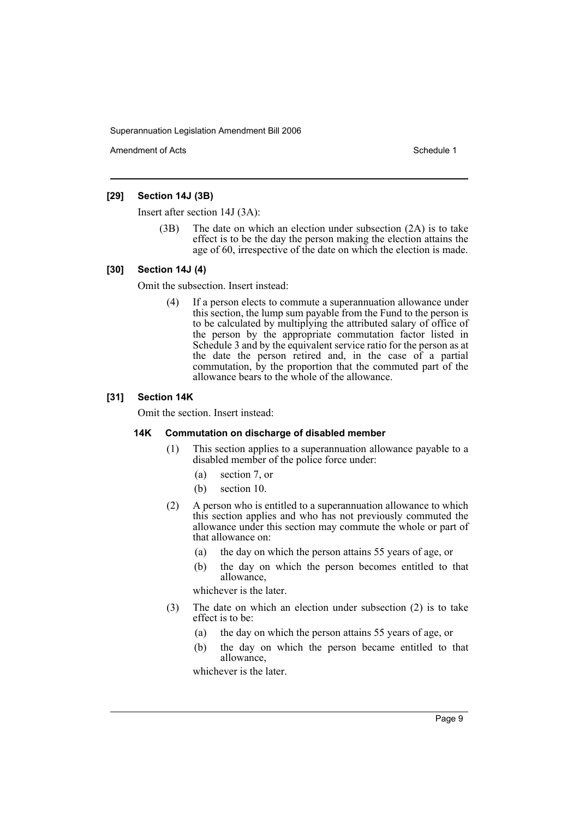Amendment of Acts **Amendment of Acts** Schedule 1

### **[29] Section 14J (3B)**

Insert after section 14J (3A):

(3B) The date on which an election under subsection (2A) is to take effect is to be the day the person making the election attains the age of 60, irrespective of the date on which the election is made.

### **[30] Section 14J (4)**

Omit the subsection. Insert instead:

(4) If a person elects to commute a superannuation allowance under this section, the lump sum payable from the Fund to the person is to be calculated by multiplying the attributed salary of office of the person by the appropriate commutation factor listed in Schedule 3 and by the equivalent service ratio for the person as at the date the person retired and, in the case of a partial commutation, by the proportion that the commuted part of the allowance bears to the whole of the allowance.

### **[31] Section 14K**

Omit the section. Insert instead:

#### **14K Commutation on discharge of disabled member**

- (1) This section applies to a superannuation allowance payable to a disabled member of the police force under:
	- (a) section 7, or
	- (b) section 10.
- (2) A person who is entitled to a superannuation allowance to which this section applies and who has not previously commuted the allowance under this section may commute the whole or part of that allowance on:
	- (a) the day on which the person attains 55 years of age, or
	- (b) the day on which the person becomes entitled to that allowance,

whichever is the later.

- (3) The date on which an election under subsection (2) is to take effect is to be:
	- (a) the day on which the person attains 55 years of age, or
	- (b) the day on which the person became entitled to that allowance,

whichever is the later.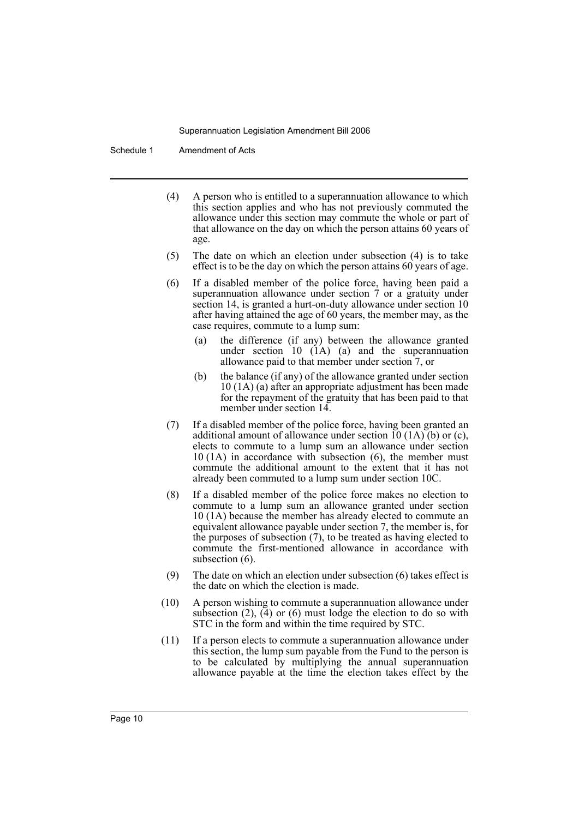Schedule 1 Amendment of Acts

- (4) A person who is entitled to a superannuation allowance to which this section applies and who has not previously commuted the allowance under this section may commute the whole or part of that allowance on the day on which the person attains 60 years of age.
- (5) The date on which an election under subsection (4) is to take effect is to be the day on which the person attains 60 years of age.
- (6) If a disabled member of the police force, having been paid a superannuation allowance under section 7 or a gratuity under section 14, is granted a hurt-on-duty allowance under section 10 after having attained the age of 60 years, the member may, as the case requires, commute to a lump sum:
	- (a) the difference (if any) between the allowance granted under section 10 (1A) (a) and the superannuation allowance paid to that member under section 7, or
	- (b) the balance (if any) of the allowance granted under section 10 (1A) (a) after an appropriate adjustment has been made for the repayment of the gratuity that has been paid to that member under section 14.
- (7) If a disabled member of the police force, having been granted an additional amount of allowance under section 10 (1A) (b) or (c), elects to commute to a lump sum an allowance under section 10 (1A) in accordance with subsection (6), the member must commute the additional amount to the extent that it has not already been commuted to a lump sum under section 10C.
- (8) If a disabled member of the police force makes no election to commute to a lump sum an allowance granted under section 10 (1A) because the member has already elected to commute an equivalent allowance payable under section 7, the member is, for the purposes of subsection (7), to be treated as having elected to commute the first-mentioned allowance in accordance with subsection  $(6)$ .
- (9) The date on which an election under subsection (6) takes effect is the date on which the election is made.
- (10) A person wishing to commute a superannuation allowance under subsection  $(2)$ ,  $(4)$  or  $(6)$  must lodge the election to do so with STC in the form and within the time required by STC.
- (11) If a person elects to commute a superannuation allowance under this section, the lump sum payable from the Fund to the person is to be calculated by multiplying the annual superannuation allowance payable at the time the election takes effect by the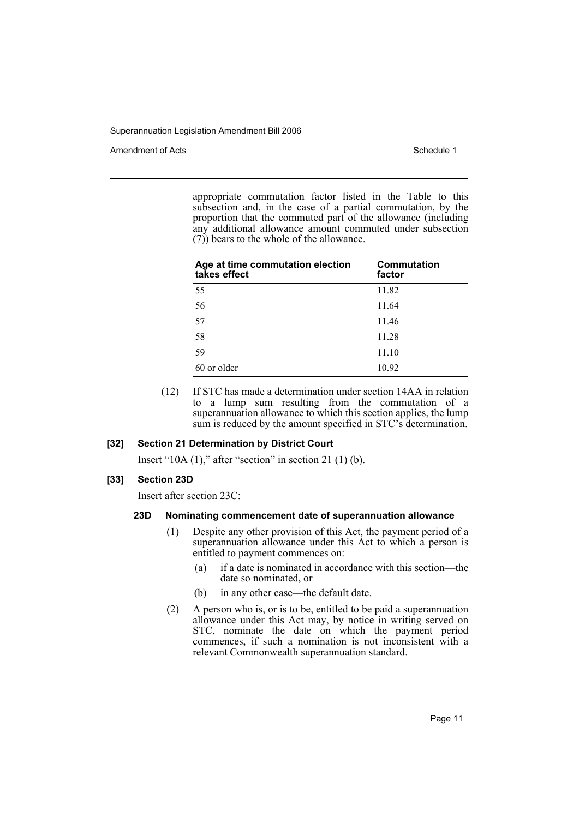Amendment of Acts **Schedule 1** and the set of Acts Schedule 1

appropriate commutation factor listed in the Table to this subsection and, in the case of a partial commutation, by the proportion that the commuted part of the allowance (including any additional allowance amount commuted under subsection (7)) bears to the whole of the allowance.

| Age at time commutation election<br>takes effect | Commutation<br>factor |
|--------------------------------------------------|-----------------------|
| 55                                               | 11.82                 |
| 56                                               | 11.64                 |
| 57                                               | 11.46                 |
| 58                                               | 11.28                 |
| 59                                               | 11.10                 |
| 60 or older                                      | 10.92                 |

(12) If STC has made a determination under section 14AA in relation to a lump sum resulting from the commutation of a superannuation allowance to which this section applies, the lump sum is reduced by the amount specified in STC's determination.

#### **[32] Section 21 Determination by District Court**

Insert "10A  $(1)$ ," after "section" in section 21 $(1)$  $(b)$ .

### **[33] Section 23D**

Insert after section 23C:

#### **23D Nominating commencement date of superannuation allowance**

- (1) Despite any other provision of this Act, the payment period of a superannuation allowance under this Act to which a person is entitled to payment commences on:
	- (a) if a date is nominated in accordance with this section—the date so nominated, or
	- (b) in any other case—the default date.
- (2) A person who is, or is to be, entitled to be paid a superannuation allowance under this Act may, by notice in writing served on STC, nominate the date on which the payment period commences, if such a nomination is not inconsistent with a relevant Commonwealth superannuation standard.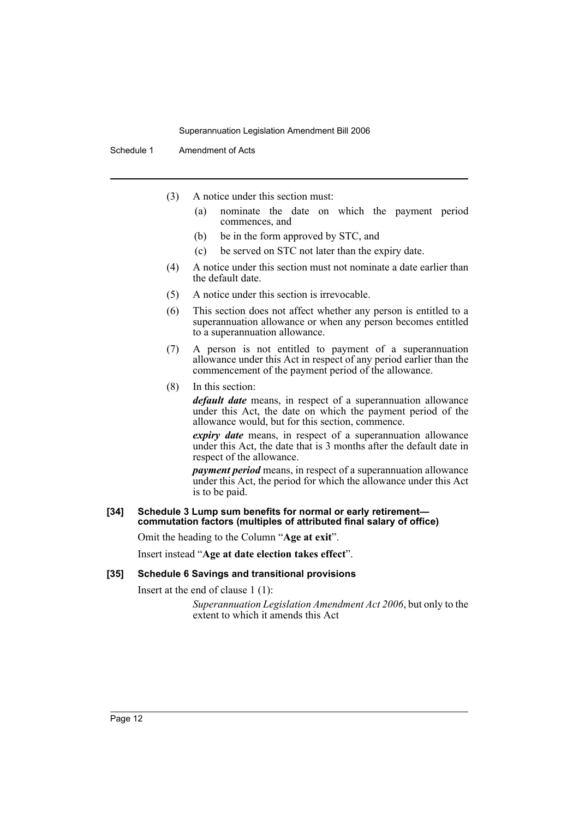Schedule 1 Amendment of Acts

- (3) A notice under this section must:
	- (a) nominate the date on which the payment period commences, and
	- (b) be in the form approved by STC, and
	- (c) be served on STC not later than the expiry date.
- (4) A notice under this section must not nominate a date earlier than the default date.
- (5) A notice under this section is irrevocable.
- (6) This section does not affect whether any person is entitled to a superannuation allowance or when any person becomes entitled to a superannuation allowance.
- (7) A person is not entitled to payment of a superannuation allowance under this Act in respect of any period earlier than the commencement of the payment period of the allowance.
- (8) In this section:

*default date* means, in respect of a superannuation allowance under this Act, the date on which the payment period of the allowance would, but for this section, commence.

*expiry date* means, in respect of a superannuation allowance under this Act, the date that is 3 months after the default date in respect of the allowance.

*payment period* means, in respect of a superannuation allowance under this Act, the period for which the allowance under this Act is to be paid.

#### **[34] Schedule 3 Lump sum benefits for normal or early retirement commutation factors (multiples of attributed final salary of office)**

Omit the heading to the Column "**Age at exit**".

Insert instead "**Age at date election takes effect**".

#### **[35] Schedule 6 Savings and transitional provisions**

Insert at the end of clause 1 (1):

*Superannuation Legislation Amendment Act 2006*, but only to the extent to which it amends this Act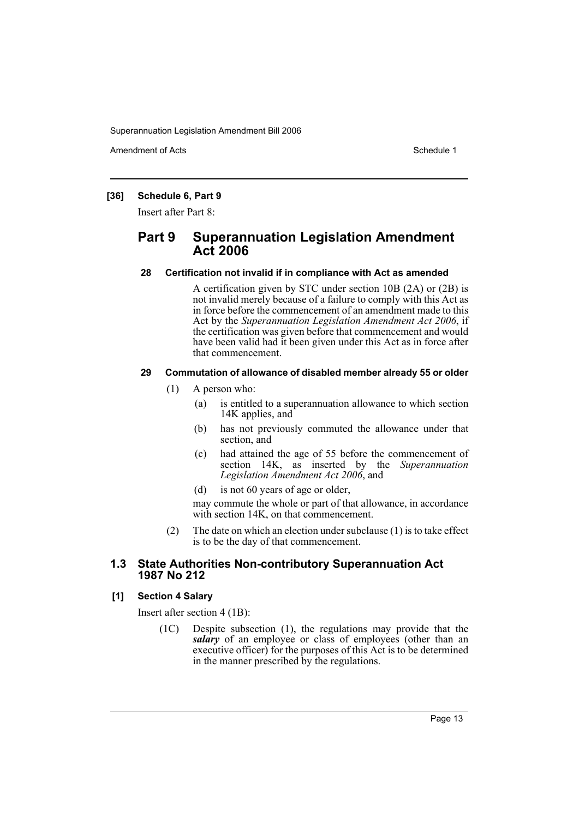Amendment of Acts **Schedule 1** and the set of Acts Schedule 1

### **[36] Schedule 6, Part 9**

Insert after Part 8:

### **Part 9 Superannuation Legislation Amendment Act 2006**

### **28 Certification not invalid if in compliance with Act as amended**

A certification given by STC under section 10B (2A) or (2B) is not invalid merely because of a failure to comply with this Act as in force before the commencement of an amendment made to this Act by the *Superannuation Legislation Amendment Act 2006*, if the certification was given before that commencement and would have been valid had it been given under this Act as in force after that commencement.

### **29 Commutation of allowance of disabled member already 55 or older**

- (1) A person who:
	- (a) is entitled to a superannuation allowance to which section 14K applies, and
	- (b) has not previously commuted the allowance under that section, and
	- (c) had attained the age of 55 before the commencement of section 14K, as inserted by the *Superannuation Legislation Amendment Act 2006*, and
	- (d) is not 60 years of age or older,

may commute the whole or part of that allowance, in accordance with section 14K, on that commencement.

(2) The date on which an election under subclause (1) is to take effect is to be the day of that commencement.

### **1.3 State Authorities Non-contributory Superannuation Act 1987 No 212**

### **[1] Section 4 Salary**

Insert after section 4 (1B):

(1C) Despite subsection (1), the regulations may provide that the salary of an employee or class of employees (other than an executive officer) for the purposes of this Act is to be determined in the manner prescribed by the regulations.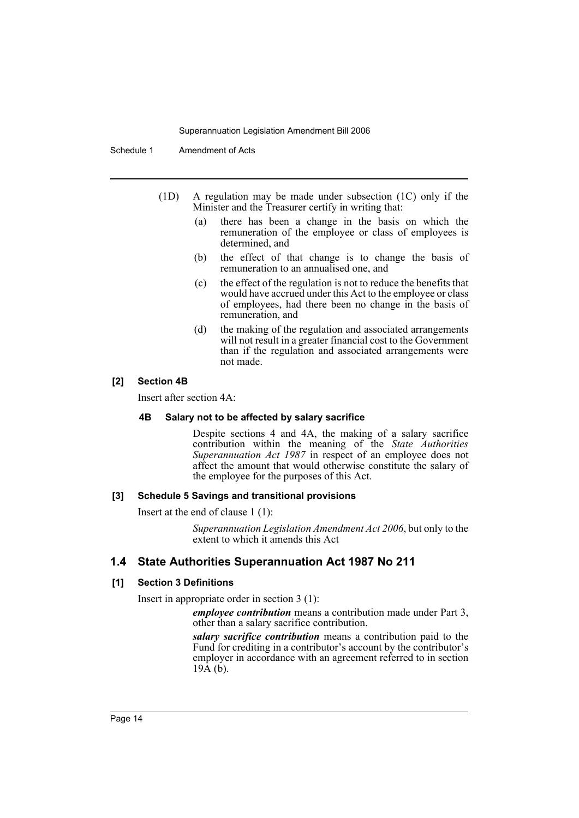Schedule 1 Amendment of Acts

- (1D) A regulation may be made under subsection (1C) only if the Minister and the Treasurer certify in writing that:
	- (a) there has been a change in the basis on which the remuneration of the employee or class of employees is determined, and
	- (b) the effect of that change is to change the basis of remuneration to an annualised one, and
	- (c) the effect of the regulation is not to reduce the benefits that would have accrued under this Act to the employee or class of employees, had there been no change in the basis of remuneration, and
	- (d) the making of the regulation and associated arrangements will not result in a greater financial cost to the Government than if the regulation and associated arrangements were not made.

#### **[2] Section 4B**

Insert after section 4A:

#### **4B Salary not to be affected by salary sacrifice**

Despite sections 4 and 4A, the making of a salary sacrifice contribution within the meaning of the *State Authorities Superannuation Act 1987* in respect of an employee does not affect the amount that would otherwise constitute the salary of the employee for the purposes of this Act.

#### **[3] Schedule 5 Savings and transitional provisions**

Insert at the end of clause 1 (1):

*Superannuation Legislation Amendment Act 2006*, but only to the extent to which it amends this Act

### **1.4 State Authorities Superannuation Act 1987 No 211**

#### **[1] Section 3 Definitions**

Insert in appropriate order in section 3 (1):

*employee contribution* means a contribution made under Part 3, other than a salary sacrifice contribution.

*salary sacrifice contribution* means a contribution paid to the Fund for crediting in a contributor's account by the contributor's employer in accordance with an agreement referred to in section  $19\text{\AA}$  (b).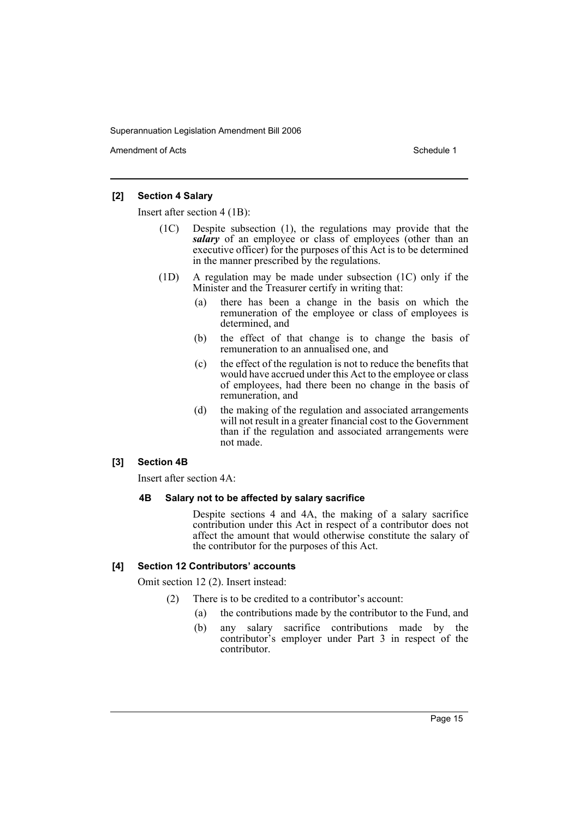Amendment of Acts **Amendment of Acts** Schedule 1

### **[2] Section 4 Salary**

Insert after section 4 (1B):

- (1C) Despite subsection (1), the regulations may provide that the *salary* of an employee or class of employees (other than an executive officer) for the purposes of this Act is to be determined in the manner prescribed by the regulations.
- (1D) A regulation may be made under subsection (1C) only if the Minister and the Treasurer certify in writing that:
	- (a) there has been a change in the basis on which the remuneration of the employee or class of employees is determined, and
	- (b) the effect of that change is to change the basis of remuneration to an annualised one, and
	- (c) the effect of the regulation is not to reduce the benefits that would have accrued under this Act to the employee or class of employees, had there been no change in the basis of remuneration, and
	- (d) the making of the regulation and associated arrangements will not result in a greater financial cost to the Government than if the regulation and associated arrangements were not made.

#### **[3] Section 4B**

Insert after section 4A:

#### **4B Salary not to be affected by salary sacrifice**

Despite sections 4 and 4A, the making of a salary sacrifice contribution under this Act in respect of a contributor does not affect the amount that would otherwise constitute the salary of the contributor for the purposes of this Act.

### **[4] Section 12 Contributors' accounts**

Omit section 12 (2). Insert instead:

- (2) There is to be credited to a contributor's account:
	- (a) the contributions made by the contributor to the Fund, and
	- (b) any salary sacrifice contributions made by the contributor's employer under Part 3 in respect of the contributor.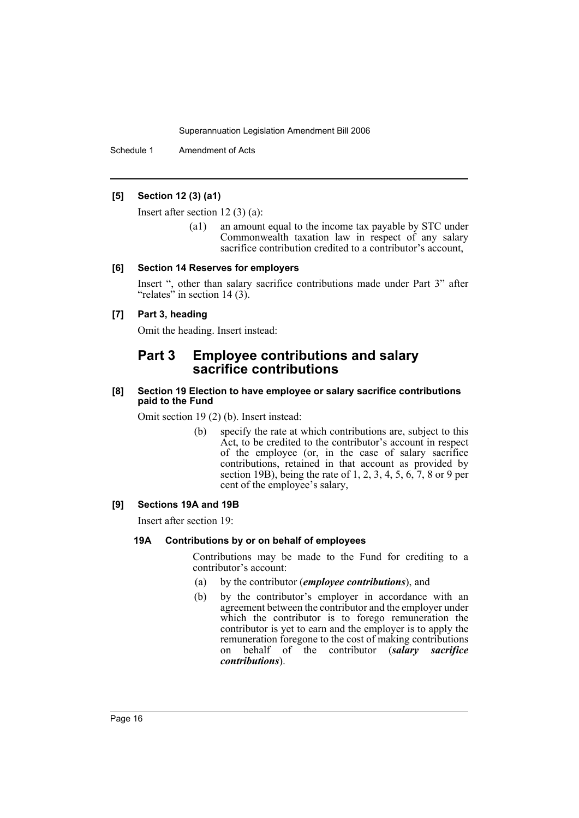Schedule 1 Amendment of Acts

### **[5] Section 12 (3) (a1)**

Insert after section 12 (3) (a):

(a1) an amount equal to the income tax payable by STC under Commonwealth taxation law in respect of any salary sacrifice contribution credited to a contributor's account,

#### **[6] Section 14 Reserves for employers**

Insert ", other than salary sacrifice contributions made under Part 3" after "relates" in section 14 (3).

### **[7] Part 3, heading**

Omit the heading. Insert instead:

### **Part 3 Employee contributions and salary sacrifice contributions**

#### **[8] Section 19 Election to have employee or salary sacrifice contributions paid to the Fund**

Omit section 19 (2) (b). Insert instead:

(b) specify the rate at which contributions are, subject to this Act, to be credited to the contributor's account in respect of the employee (or, in the case of salary sacrifice contributions, retained in that account as provided by section 19B), being the rate of 1, 2, 3, 4, 5, 6, 7, 8 or 9 per cent of the employee's salary,

#### **[9] Sections 19A and 19B**

Insert after section 19:

#### **19A Contributions by or on behalf of employees**

Contributions may be made to the Fund for crediting to a contributor's account:

- (a) by the contributor (*employee contributions*), and
- (b) by the contributor's employer in accordance with an agreement between the contributor and the employer under which the contributor is to forego remuneration the contributor is yet to earn and the employer is to apply the remuneration foregone to the cost of making contributions on behalf of the contributor (*salary sacrifice contributions*).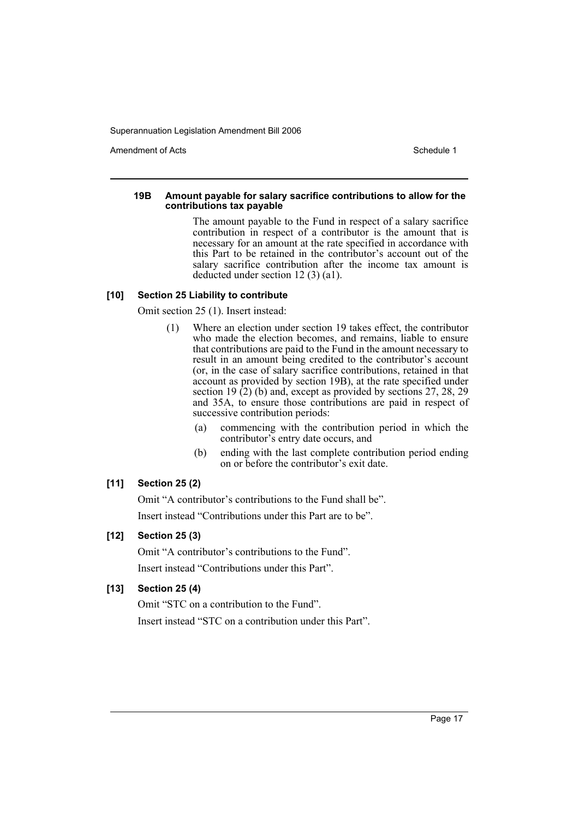Amendment of Acts **Amendment of Acts** Schedule 1

#### **19B Amount payable for salary sacrifice contributions to allow for the contributions tax payable**

The amount payable to the Fund in respect of a salary sacrifice contribution in respect of a contributor is the amount that is necessary for an amount at the rate specified in accordance with this Part to be retained in the contributor's account out of the salary sacrifice contribution after the income tax amount is deducted under section 12 (3) (a1).

### **[10] Section 25 Liability to contribute**

Omit section 25 (1). Insert instead:

- (1) Where an election under section 19 takes effect, the contributor who made the election becomes, and remains, liable to ensure that contributions are paid to the Fund in the amount necessary to result in an amount being credited to the contributor's account (or, in the case of salary sacrifice contributions, retained in that account as provided by section 19B), at the rate specified under section 19 $(2)$  (b) and, except as provided by sections 27, 28, 29 and 35A, to ensure those contributions are paid in respect of successive contribution periods:
	- (a) commencing with the contribution period in which the contributor's entry date occurs, and
	- (b) ending with the last complete contribution period ending on or before the contributor's exit date.

### **[11] Section 25 (2)**

Omit "A contributor's contributions to the Fund shall be". Insert instead "Contributions under this Part are to be".

### **[12] Section 25 (3)**

Omit "A contributor's contributions to the Fund". Insert instead "Contributions under this Part".

### **[13] Section 25 (4)**

Omit "STC on a contribution to the Fund". Insert instead "STC on a contribution under this Part".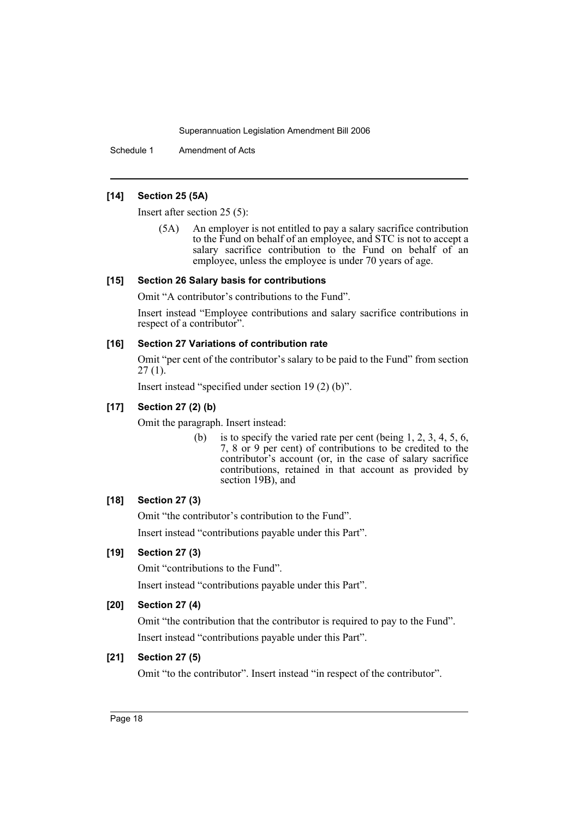Schedule 1 Amendment of Acts

### **[14] Section 25 (5A)**

Insert after section 25 (5):

(5A) An employer is not entitled to pay a salary sacrifice contribution to the Fund on behalf of an employee, and STC is not to accept a salary sacrifice contribution to the Fund on behalf of an employee, unless the employee is under 70 years of age.

#### **[15] Section 26 Salary basis for contributions**

Omit "A contributor's contributions to the Fund".

Insert instead "Employee contributions and salary sacrifice contributions in respect of a contributor".

#### **[16] Section 27 Variations of contribution rate**

Omit "per cent of the contributor's salary to be paid to the Fund" from section  $27(1)$ .

Insert instead "specified under section 19 (2) (b)".

### **[17] Section 27 (2) (b)**

Omit the paragraph. Insert instead:

(b) is to specify the varied rate per cent (being  $1, 2, 3, 4, 5, 6$ , 7, 8 or 9 per cent) of contributions to be credited to the contributor's account (or, in the case of salary sacrifice contributions, retained in that account as provided by section 19B), and

### **[18] Section 27 (3)**

Omit "the contributor's contribution to the Fund".

Insert instead "contributions payable under this Part".

### **[19] Section 27 (3)**

Omit "contributions to the Fund".

Insert instead "contributions payable under this Part".

### **[20] Section 27 (4)**

Omit "the contribution that the contributor is required to pay to the Fund". Insert instead "contributions payable under this Part".

### **[21] Section 27 (5)**

Omit "to the contributor". Insert instead "in respect of the contributor".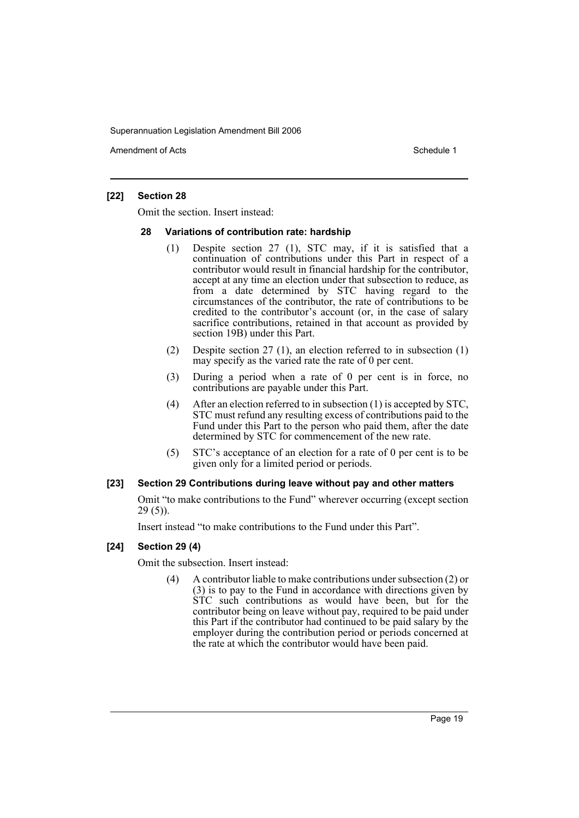Amendment of Acts **Amendment of Acts** Schedule 1

### **[22] Section 28**

Omit the section. Insert instead:

#### **28 Variations of contribution rate: hardship**

- (1) Despite section 27 (1), STC may, if it is satisfied that a continuation of contributions under this Part in respect of a contributor would result in financial hardship for the contributor, accept at any time an election under that subsection to reduce, as from a date determined by STC having regard to the circumstances of the contributor, the rate of contributions to be credited to the contributor's account (or, in the case of salary sacrifice contributions, retained in that account as provided by section 19B) under this Part.
- (2) Despite section 27 (1), an election referred to in subsection (1) may specify as the varied rate the rate of 0 per cent.
- (3) During a period when a rate of 0 per cent is in force, no contributions are payable under this Part.
- (4) After an election referred to in subsection (1) is accepted by STC, STC must refund any resulting excess of contributions paid to the Fund under this Part to the person who paid them, after the date determined by STC for commencement of the new rate.
- (5) STC's acceptance of an election for a rate of 0 per cent is to be given only for a limited period or periods.

#### **[23] Section 29 Contributions during leave without pay and other matters**

Omit "to make contributions to the Fund" wherever occurring (except section 29 (5)).

Insert instead "to make contributions to the Fund under this Part".

### **[24] Section 29 (4)**

Omit the subsection. Insert instead:

(4) A contributor liable to make contributions under subsection (2) or (3) is to pay to the Fund in accordance with directions given by STC such contributions as would have been, but for the contributor being on leave without pay, required to be paid under this Part if the contributor had continued to be paid salary by the employer during the contribution period or periods concerned at the rate at which the contributor would have been paid.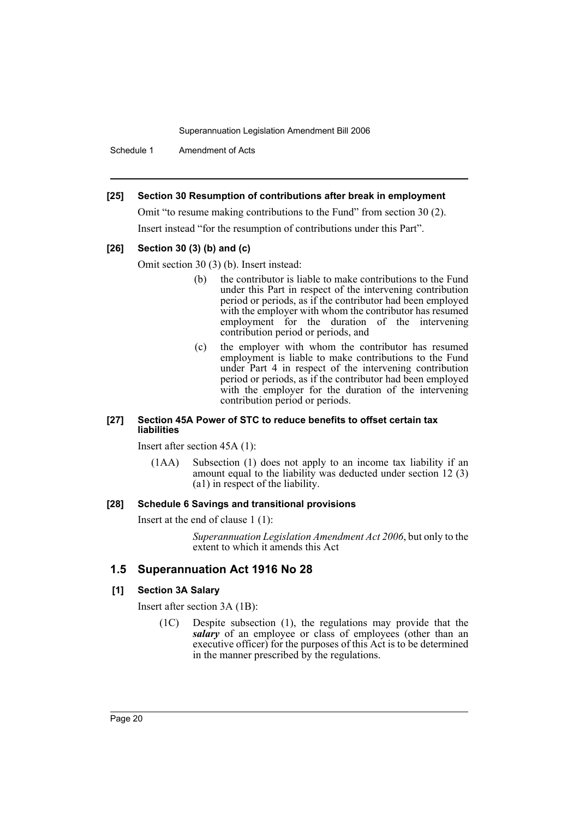Schedule 1 Amendment of Acts

#### **[25] Section 30 Resumption of contributions after break in employment**

Omit "to resume making contributions to the Fund" from section 30 (2). Insert instead "for the resumption of contributions under this Part".

### **[26] Section 30 (3) (b) and (c)**

Omit section 30 (3) (b). Insert instead:

- (b) the contributor is liable to make contributions to the Fund under this Part in respect of the intervening contribution period or periods, as if the contributor had been employed with the employer with whom the contributor has resumed employment for the duration of the intervening contribution period or periods, and
- (c) the employer with whom the contributor has resumed employment is liable to make contributions to the Fund under Part 4 in respect of the intervening contribution period or periods, as if the contributor had been employed with the employer for the duration of the intervening contribution period or periods.

#### **[27] Section 45A Power of STC to reduce benefits to offset certain tax liabilities**

Insert after section 45A (1):

(1AA) Subsection (1) does not apply to an income tax liability if an amount equal to the liability was deducted under section  $12(3)$ (a1) in respect of the liability.

#### **[28] Schedule 6 Savings and transitional provisions**

Insert at the end of clause 1 (1):

*Superannuation Legislation Amendment Act 2006*, but only to the extent to which it amends this Act

### **1.5 Superannuation Act 1916 No 28**

#### **[1] Section 3A Salary**

Insert after section 3A (1B):

(1C) Despite subsection (1), the regulations may provide that the salary of an employee or class of employees (other than an executive officer) for the purposes of this Act is to be determined in the manner prescribed by the regulations.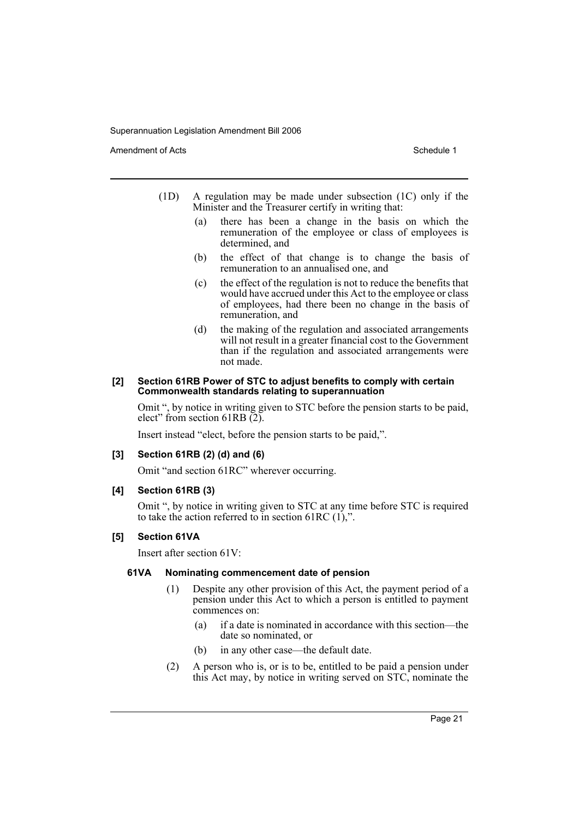Amendment of Acts **Schedule 1** and the set of Acts Schedule 1

- (1D) A regulation may be made under subsection (1C) only if the Minister and the Treasurer certify in writing that:
	- (a) there has been a change in the basis on which the remuneration of the employee or class of employees is determined, and
	- (b) the effect of that change is to change the basis of remuneration to an annualised one, and
	- (c) the effect of the regulation is not to reduce the benefits that would have accrued under this Act to the employee or class of employees, had there been no change in the basis of remuneration, and
	- (d) the making of the regulation and associated arrangements will not result in a greater financial cost to the Government than if the regulation and associated arrangements were not made.

#### **[2] Section 61RB Power of STC to adjust benefits to comply with certain Commonwealth standards relating to superannuation**

Omit ", by notice in writing given to STC before the pension starts to be paid, elect" from section 61RB $(2)$ .

Insert instead "elect, before the pension starts to be paid,".

#### **[3] Section 61RB (2) (d) and (6)**

Omit "and section 61RC" wherever occurring.

#### **[4] Section 61RB (3)**

Omit ", by notice in writing given to STC at any time before STC is required to take the action referred to in section 61RC  $(1)$ ,".

#### **[5] Section 61VA**

Insert after section 61V:

#### **61VA Nominating commencement date of pension**

- (1) Despite any other provision of this Act, the payment period of a pension under this Act to which a person is entitled to payment commences on:
	- (a) if a date is nominated in accordance with this section—the date so nominated, or
	- (b) in any other case—the default date.
- (2) A person who is, or is to be, entitled to be paid a pension under this Act may, by notice in writing served on STC, nominate the